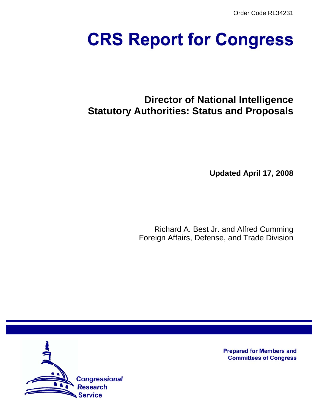Order Code RL34231

# **CRS Report for Congress**

# **Director of National Intelligence Statutory Authorities: Status and Proposals**

**Updated April 17, 2008**

Richard A. Best Jr. and Alfred Cumming Foreign Affairs, Defense, and Trade Division



**Prepared for Members and Committees of Congress**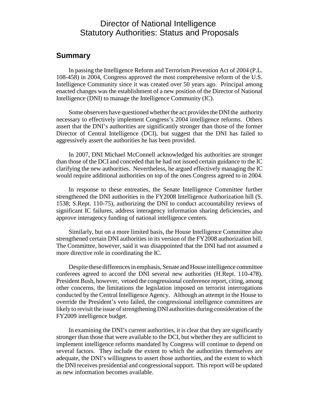## Director of National Intelligence Statutory Authorities: Status and Proposals

#### **Summary**

In passing the Intelligence Reform and Terrorism Prevention Act of 2004 (P.L. 108-458) in 2004, Congress approved the most comprehensive reform of the U.S. Intelligence Community since it was created over 50 years ago. Principal among enacted changes was the establishment of a new position of the Director of National Intelligence (DNI) to manage the Intelligence Community (IC).

Some observers have questioned whether the act provides the DNI the authority necessary to effectively implement Congress's 2004 intelligence reforms. Others assert that the DNI's authorities are significantly stronger than those of the former Director of Central Intelligence (DCI), but suggest that the DNI has failed to aggressively assert the authorities he has been provided.

In 2007, DNI Michael McConnell acknowledged his authorities are stronger than those of the DCI and conceded that he had not issued certain guidance to the IC clarifying the new authorities. Nevertheless, he argued effectively managing the IC would require additional authorities on top of the ones Congress agreed to in 2004.

In response to these entreaties, the Senate Intelligence Committee further strengthened the DNI authorities in the FY2008 Intelligence Authorization bill (S. 1538; S.Rept. 110-75), authorizing the DNI to conduct accountability reviews of significant IC failures, address interagency information sharing deficiencies, and approve interagency funding of national intelligence centers.

Similarly, but on a more limited basis, the House Intelligence Committee also strengthened certain DNI authorities in its version of the FY2008 authorization bill. The Committee, however, said it was disappointed that the DNI had not assumed a more directive role in coordinating the IC.

Despite these differences in emphasis, Senate and House intelligence committee conferees agreed to accord the DNI several new authorities (H.Rept. 110-478). President Bush, however, vetoed the congressional conference report, citing, among other concerns, the limitations the legislation imposed on terrorist interrogations conducted by the Central Intelligence Agency. Although an attempt in the House to override the President's veto failed, the congressional intelligence committees are likely to revisit the issue of strengthening DNI authorities during consideration of the FY2009 intelligence budget.

In examining the DNI's current authorities, it is clear that they are significantly stronger than those that were available to the DCI, but whether they are sufficient to implement intelligence reforms mandated by Congress will continue to depend on several factors. They include the extent to which the authorities themselves are adequate, the DNI's willingness to assert those authorities, and the extent to which the DNI receives presidential and congressional support. This report will be updated as new information becomes available.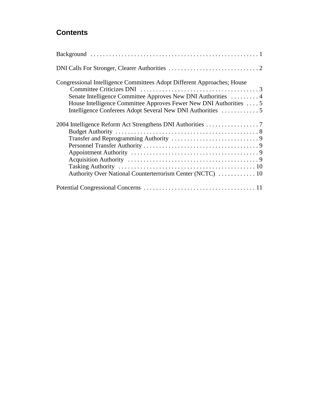## **Contents**

| Congressional Intelligence Committees Adopt Different Approaches; House<br>Senate Intelligence Committee Approves New DNI Authorities  4<br>House Intelligence Committee Approves Fewer New DNI Authorities 5 |
|---------------------------------------------------------------------------------------------------------------------------------------------------------------------------------------------------------------|
|                                                                                                                                                                                                               |
|                                                                                                                                                                                                               |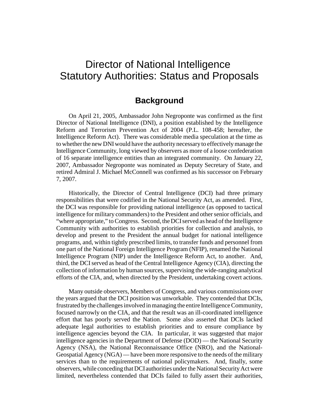## Director of National Intelligence Statutory Authorities: Status and Proposals

## **Background**

On April 21, 2005, Ambassador John Negroponte was confirmed as the first Director of National Intelligence (DNI), a position established by the Intelligence Reform and Terrorism Prevention Act of 2004 (P.L. 108-458; hereafter, the Intelligence Reform Act). There was considerable media speculation at the time as to whether the new DNI would have the authority necessary to effectively manage the Intelligence Community, long viewed by observers as more of a loose confederation of 16 separate intelligence entities than an integrated community. On January 22, 2007, Ambassador Negroponte was nominated as Deputy Secretary of State, and retired Admiral J. Michael McConnell was confirmed as his successor on February 7, 2007.

Historically, the Director of Central Intelligence (DCI) had three primary responsibilities that were codified in the National Security Act, as amended. First, the DCI was responsible for providing national intelligence (as opposed to tactical intelligence for military commanders) to the President and other senior officials, and "where appropriate," to Congress. Second, the DCI served as head of the Intelligence Community with authorities to establish priorities for collection and analysis, to develop and present to the President the annual budget for national intelligence programs, and, within tightly prescribed limits, to transfer funds and personnel from one part of the National Foreign Intelligence Program (NFIP), renamed the National Intelligence Program (NIP) under the Intelligence Reform Act, to another. And, third, the DCI served as head of the Central Intelligence Agency (CIA), directing the collection of information by human sources, supervising the wide-ranging analytical efforts of the CIA, and, when directed by the President, undertaking covert actions.

Many outside observers, Members of Congress, and various commissions over the years argued that the DCI position was unworkable. They contended that DCIs, frustrated by the challenges involved in managing the entire Intelligence Community, focused narrowly on the CIA, and that the result was an ill-coordinated intelligence effort that has poorly served the Nation. Some also asserted that DCIs lacked adequate legal authorities to establish priorities and to ensure compliance by intelligence agencies beyond the CIA. In particular, it was suggested that major intelligence agencies in the Department of Defense (DOD) — the National Security Agency (NSA), the National Reconnaissance Office (NRO), and the National-Geospatial Agency (NGA) — have been more responsive to the needs of the military services than to the requirements of national policymakers. And, finally, some observers, while conceding that DCI authorities under the National Security Act were limited, nevertheless contended that DCIs failed to fully assert their authorities,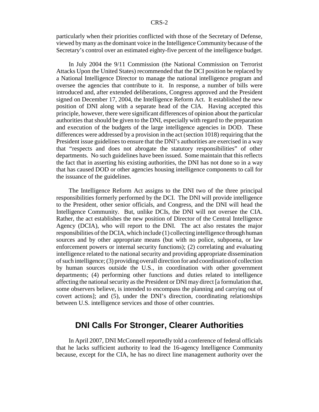particularly when their priorities conflicted with those of the Secretary of Defense, viewed by many as the dominant voice in the Intelligence Community because of the Secretary's control over an estimated eighty-five percent of the intelligence budget.

In July 2004 the 9/11 Commission (the National Commission on Terrorist Attacks Upon the United States) recommended that the DCI position be replaced by a National Intelligence Director to manage the national intelligence program and oversee the agencies that contribute to it. In response, a number of bills were introduced and, after extended deliberations, Congress approved and the President signed on December 17, 2004, the Intelligence Reform Act. It established the new position of DNI along with a separate head of the CIA. Having accepted this principle, however, there were significant differences of opinion about the particular authorities that should be given to the DNI, especially with regard to the preparation and execution of the budgets of the large intelligence agencies in DOD. These differences were addressed by a provision in the act (section 1018) requiring that the President issue guidelines to ensure that the DNI's authorities are exercised in a way that "respects and does not abrogate the statutory responsibilities" of other departments. No such guidelines have been issued. Some maintain that this reflects the fact that in asserting his existing authorities, the DNI has not done so in a way that has caused DOD or other agencies housing intelligence components to call for the issuance of the guidelines.

The Intelligence Reform Act assigns to the DNI two of the three principal responsibilities formerly performed by the DCI. The DNI will provide intelligence to the President, other senior officials, and Congress, and the DNI will head the Intelligence Community. But, unlike DCIs, the DNI will not oversee the CIA. Rather, the act establishes the new position of Director of the Central Intelligence Agency (DCIA), who will report to the DNI. The act also restates the major responsibilities of the DCIA, which include (1) collecting intelligence through human sources and by other appropriate means (but with no police, subpoena, or law enforcement powers or internal security functions); (2) correlating and evaluating intelligence related to the national security and providing appropriate dissemination of such intelligence; (3) providing overall direction for and coordination of collection by human sources outside the U.S., in coordination with other government departments; (4) performing other functions and duties related to intelligence affecting the national security as the President or DNI may direct [a formulation that, some observers believe, is intended to encompass the planning and carrying out of covert actions]; and (5), under the DNI's direction, coordinating relationships between U.S. intelligence services and those of other countries.

## **DNI Calls For Stronger, Clearer Authorities**

In April 2007, DNI McConnell reportedly told a conference of federal officials that he lacks sufficient authority to lead the 16-agency Intelligence Community because, except for the CIA, he has no direct line management authority over the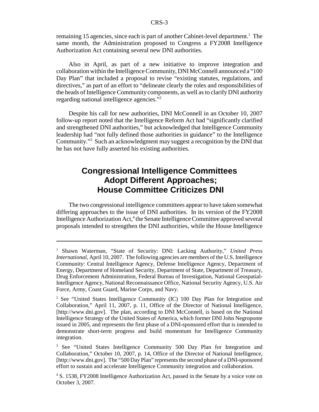remaining 15 agencies, since each is part of another Cabinet-level department.<sup>1</sup> The same month, the Administration proposed to Congress a FY2008 Intelligence Authorization Act containing several new DNI authorities.

Also in April, as part of a new initiative to improve integration and collaboration within the Intelligence Community, DNI McConnell announced a "100 Day Plan" that included a proposal to revise "existing statutes, regulations, and directives," as part of an effort to "delineate clearly the roles and responsibilities of the heads of Intelligence Community components, as well as to clarify DNI authority regarding national intelligence agencies."2

Despite his call for new authorities, DNI McConnell in an October 10, 2007 follow-up report noted that the Intelligence Reform Act had "significantly clarified and strengthened DNI authorities," but acknowledged that Intelligence Community leadership had "not fully defined those authorities in guidance" to the Intelligence Community."3 Such an acknowledgment may suggest a recognition by the DNI that he has not have fully asserted his existing authorities.

## **Congressional Intelligence Committees Adopt Different Approaches; House Committee Criticizes DNI**

The two congressional intelligence committees appear to have taken somewhat differing approaches to the issue of DNI authorities. In its version of the FY2008 Intelligence Authorization Act,<sup>4</sup> the Senate Intelligence Committee approved several proposals intended to strengthen the DNI authorities, while the House Intelligence

<sup>1</sup> Shawn Waterman, "State of Security: DNI: Lacking Authority," *United Press International*, April 10, 2007. The following agencies are members of the U.S. Intelligence Community: Central Intelligence Agency, Defense Intelligence Agency, Department of Energy, Department of Homeland Security, Department of State, Department of Treasury, Drug Enforcement Administration, Federal Bureau of Investigation, National Geospatial-Intelligence Agency, National Reconnaissance Office, National Security Agency, U.S. Air Force, Army, Coast Guard, Marine Corps, and Navy.

<sup>&</sup>lt;sup>2</sup> See "United States Intelligence Community (IC) 100 Day Plan for Integration and Collaboration," April 11, 2007, p. 11, Office of the Director of National Intelligence, [http://www.dni.gov]. The plan, according to DNI McConnell, is based on the National Intelligence Strategy of the United States of America, which former DNI John Negroponte issued in 2005, and represents the first phase of a DNI-sponsored effort that is intended to demonstrate short-term progress and build momentum for Intelligence Community integration.

<sup>&</sup>lt;sup>3</sup> See "United States Intelligence Community 500 Day Plan for Integration and Collaboration," October 10, 2007, p. 14, Office of the Director of National Intelligence, [http://www.dni.gov]. The "500 Day Plan" represents the second phase of a DNI-sponsored effort to sustain and accelerate Intelligence Community integration and collaboration.

<sup>&</sup>lt;sup>4</sup> S. 1538, FY2008 Intelligence Authorization Act, passed in the Senate by a voice vote on October 3, 2007.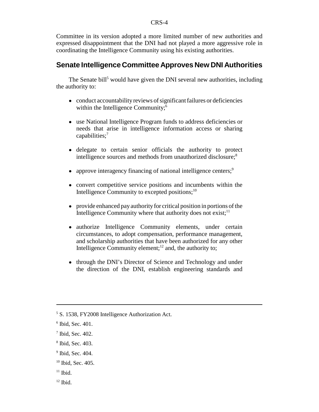Committee in its version adopted a more limited number of new authorities and expressed disappointment that the DNI had not played a more aggressive role in coordinating the Intelligence Community using his existing authorities.

#### **Senate Intelligence Committee Approves New DNI Authorities**

The Senate bill<sup>5</sup> would have given the DNI several new authorities, including the authority to:

- conduct accountability reviews of significant failures or deficiencies within the Intelligence Community;<sup>6</sup>
- use National Intelligence Program funds to address deficiencies or needs that arise in intelligence information access or sharing capabilities;<sup>7</sup>
- ! delegate to certain senior officials the authority to protect intelligence sources and methods from unauthorized disclosure;<sup>8</sup>
- $\bullet$  approve interagency financing of national intelligence centers;<sup>9</sup>
- convert competitive service positions and incumbents within the Intelligence Community to excepted positions; $10$
- provide enhanced pay authority for critical position in portions of the Intelligence Community where that authority does not exist; $11$
- authorize Intelligence Community elements, under certain circumstances, to adopt compensation, performance management, and scholarship authorities that have been authorized for any other Intelligence Community element; $^{12}$  and, the authority to;
- through the DNI's Director of Science and Technology and under the direction of the DNI, establish engineering standards and

<sup>5</sup> S. 1538, FY2008 Intelligence Authorization Act.

<sup>6</sup> Ibid, Sec. 401.

 $<sup>7</sup>$  Ibid, Sec. 402.</sup>

<sup>8</sup> Ibid, Sec. 403.

<sup>&</sup>lt;sup>9</sup> Ibid, Sec. 404.

 $10$  Ibid, Sec. 405.

 $11$  Ibid.

 $12$  Ibid.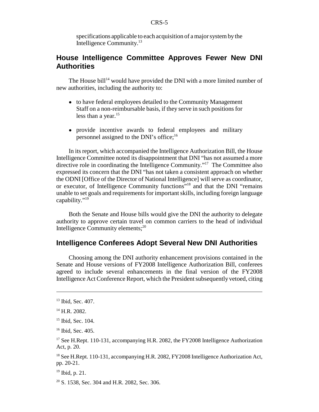specifications applicable to each acquisition of a major system by the Intelligence Community.13

#### **House Intelligence Committee Approves Fewer New DNI Authorities**

The House bill<sup>14</sup> would have provided the DNI with a more limited number of new authorities, including the authority to:

- to have federal employees detailed to the Community Management Staff on a non-reimbursable basis, if they serve in such positions for less than a year.<sup>15</sup>
- provide incentive awards to federal employees and military personnel assigned to the DNI's office;<sup>16</sup>

In its report, which accompanied the Intelligence Authorization Bill, the House Intelligence Committee noted its disappointment that DNI "has not assumed a more directive role in coordinating the Intelligence Community."17 The Committee also expressed its concern that the DNI "has not taken a consistent approach on whether the ODNI [Office of the Director of National Intelligence] will serve as coordinator, or executor, of Intelligence Community functions"18 and that the DNI "remains unable to set goals and requirements for important skills, including foreign language capability."<sup>19</sup>

Both the Senate and House bills would give the DNI the authority to delegate authority to approve certain travel on common carriers to the head of individual Intelligence Community elements; $^{20}$ 

#### **Intelligence Conferees Adopt Several New DNI Authorities**

Choosing among the DNI authority enhancement provisions contained in the Senate and House versions of FY2008 Intelligence Authorization Bill, conferees agreed to include several enhancements in the final version of the FY2008 Intelligence Act Conference Report, which the President subsequently vetoed, citing

<sup>&</sup>lt;sup>13</sup> Ibid, Sec. 407.

<sup>&</sup>lt;sup>14</sup> H.R. 2082.

<sup>&</sup>lt;sup>15</sup> Ibid, Sec. 104.

<sup>&</sup>lt;sup>16</sup> Ibid, Sec. 405.

<sup>&</sup>lt;sup>17</sup> See H.Rept. 110-131, accompanying H.R. 2082, the FY2008 Intelligence Authorization Act, p. 20.

<sup>&</sup>lt;sup>18</sup> See H.Rept. 110-131, accompanying H.R. 2082, FY2008 Intelligence Authorization Act, pp. 20-21.

 $19$  Ibid, p. 21.

 $20$  S. 1538, Sec. 304 and H.R. 2082, Sec. 306.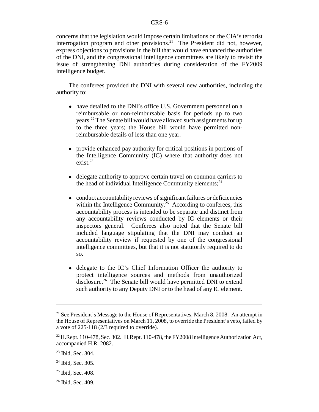concerns that the legislation would impose certain limitations on the CIA's terrorist interrogation program and other provisions.<sup>21</sup> The President did not, however, express objections to provisions in the bill that would have enhanced the authorities of the DNI, and the congressional intelligence committees are likely to revisit the issue of strengthening DNI authorities during consideration of the FY2009 intelligence budget.

The conferees provided the DNI with several new authorities, including the authority to:

- have detailed to the DNI's office U.S. Government personnel on a reimbursable or non-reimbursable basis for periods up to two years.22 The Senate bill would have allowed such assignments for up to the three years; the House bill would have permitted nonreimbursable details of less than one year.
- provide enhanced pay authority for critical positions in portions of the Intelligence Community (IC) where that authority does not exist. $23$
- delegate authority to approve certain travel on common carriers to the head of individual Intelligence Community elements; $^{24}$
- ! conduct accountability reviews of significant failures or deficiencies within the Intelligence Community.<sup>25</sup> According to conferees, this accountability process is intended to be separate and distinct from any accountability reviews conducted by IC elements or their inspectors general. Conferees also noted that the Senate bill included language stipulating that the DNI may conduct an accountability review if requested by one of the congressional intelligence committees, but that it is not statutorily required to do so.
- delegate to the IC's Chief Information Officer the authority to protect intelligence sources and methods from unauthorized disclosure.<sup>26</sup> The Senate bill would have permitted DNI to extend such authority to any Deputy DNI or to the head of any IC element.

- $24$  Ibid, Sec. 305.
- $25$  Ibid, Sec. 408.
- $26$  Ibid, Sec. 409.

 $21$  See President's Message to the House of Representatives, March 8, 2008. An attempt in the House of Representatives on March 11, 2008, to override the President's veto, failed by a vote of 225-118 (2/3 required to override).

 $22$  H.Rept. 110-478, Sec. 302. H.Rept. 110-478, the FY2008 Intelligence Authorization Act, accompanied H.R. 2082.

 $23$  Ibid, Sec. 304.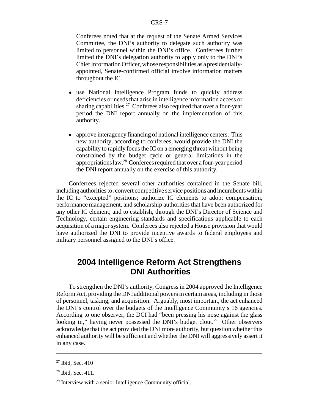Conferees noted that at the request of the Senate Armed Services Committee, the DNI's authority to delegate such authority was limited to personnel within the DNI's office. Conferrees further limited the DNI's delegation authority to apply only to the DNI's Chief Information Officer, whose responsibilities as a presidentiallyappointed, Senate-confirmed official involve information matters throughout the IC.

- use National Intelligence Program funds to quickly address deficiencies or needs that arise in intelligence information access or sharing capabilities.<sup>27</sup> Conferees also required that over a four-year period the DNI report annually on the implementation of this authority.
- approve interagency financing of national intelligence centers. This new authority, according to conferees, would provide the DNI the capability to rapidly focus the IC on a emerging threat without being constrained by the budget cycle or general limitations in the appropriations law.28 Conferees required that over a four-year period the DNI report annually on the exercise of this authority.

Conferrees rejected several other authorities contained in the Senate bill, including authorities to: convert competitive service positions and incumbents within the IC to "excepted" positions; authorize IC elements to adopt compensation, performance management, and scholarship authorities that have been authorized for any other IC element; and to establish, through the DNI's Director of Science and Technology, certain engineering standards and specifications applicable to each acquisition of a major system. Conferees also rejected a House provision that would have authorized the DNI to provide incentive awards to federal employees and military personnel assigned to the DNI's office.

## **2004 Intelligence Reform Act Strengthens DNI Authorities**

To strengthen the DNI's authority, Congress in 2004 approved the Intelligence Reform Act, providing the DNI additional powers in certain areas, including in those of personnel, tasking, and acquisition. Arguably, most important, the act enhanced the DNI's control over the budgets of the Intelligence Community's 16 agencies. According to one observer, the DCI had "been pressing his nose against the glass looking in," having never possessed the DNI's budget clout.<sup>29</sup> Other observers acknowledge that the act provided the DNI more authority, but question whether this enhanced authority will be sufficient and whether the DNI will aggressively assert it in any case.

 $27$  Ibid, Sec. 410

 $28$  Ibid, Sec. 411.

<sup>&</sup>lt;sup>29</sup> Interview with a senior Intelligence Community official.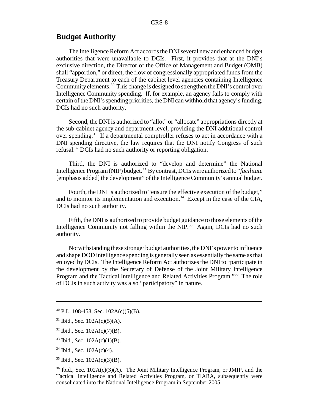#### **Budget Authority**

The Intelligence Reform Act accords the DNI several new and enhanced budget authorities that were unavailable to DCIs. First, it provides that at the DNI's exclusive direction, the Director of the Office of Management and Budget (OMB) shall "apportion," or direct, the flow of congressionally appropriated funds from the Treasury Department to each of the cabinet level agencies containing Intelligence Community elements.30 This change is designed to strengthen the DNI's control over Intelligence Community spending. If, for example, an agency fails to comply with certain of the DNI's spending priorities, the DNI can withhold that agency's funding. DCIs had no such authority.

Second, the DNI is authorized to "allot" or "allocate" appropriations directly at the sub-cabinet agency and department level, providing the DNI additional control over spending.<sup>31</sup> If a departmental comptroller refuses to act in accordance with a DNI spending directive, the law requires that the DNI notify Congress of such refusal.32 DCIs had no such authority or reporting obligation.

Third, the DNI is authorized to "develop and determine" the National Intelligence Program (NIP) budget.<sup>33</sup> By contrast, DCIs were authorized to "*facilitate* [emphasis added] the development" of the Intelligence Community's annual budget.

Fourth, the DNI is authorized to "ensure the effective execution of the budget," and to monitor its implementation and execution.<sup>34</sup> Except in the case of the CIA, DCIs had no such authority.

Fifth, the DNI is authorized to provide budget guidance to those elements of the Intelligence Community not falling within the  $NIP$ <sup>35</sup> Again, DCIs had no such authority.

Notwithstanding these stronger budget authorities, the DNI's power to influence and shape DOD intelligence spending is generally seen as essentially the same as that enjoyed by DCIs. The Intelligence Reform Act authorizes the DNI to "participate in the development by the Secretary of Defense of the Joint Military Intelligence Program and the Tactical Intelligence and Related Activities Program."36 The role of DCIs in such activity was also "participatory" in nature.

- $32$  Ibid., Sec.  $102A(c)(7)(B)$ .
- $33$  Ibid., Sec.  $102A(c)(1)(B)$ .
- 34 Ibid., Sec. 102A(c)(4).
- $35$  Ibid., Sec.  $102A(c)(3)(B)$ .

 $30$  P.L. 108-458, Sec. 102A(c)(5)(B).

 $31$  Ibid., Sec.  $102A(c)(5)(A)$ .

 $36$  Ibid., Sec. 102A(c)(3)(A). The Joint Military Intelligence Program, or JMIP, and the Tactical Intelligence and Related Activities Program, or TIARA, subsequently were consolidated into the National Intelligence Program in September 2005.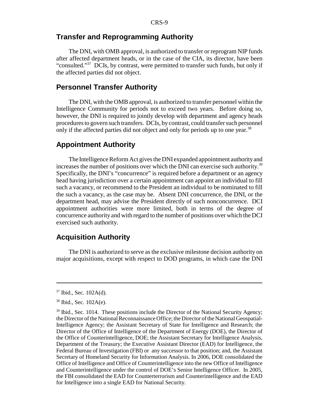#### **Transfer and Reprogramming Authority**

The DNI, with OMB approval, is authorized to transfer or reprogram NIP funds after affected department heads, or in the case of the CIA, its director, have been "consulted."37 DCIs, by contrast, were permitted to transfer such funds, but only if the affected parties did not object.

#### **Personnel Transfer Authority**

The DNI, with the OMB approval, is authorized to transfer personnel within the Intelligence Community for periods not to exceed two years. Before doing so, however, the DNI is required to jointly develop with department and agency heads procedures to govern such transfers. DCIs, by contrast, could transfer such personnel only if the affected parties did not object and only for periods up to one year.<sup>38</sup>

## **Appointment Authority**

The Intelligence Reform Act gives the DNI expanded appointment authority and increases the number of positions over which the DNI can exercise such authority.<sup>39</sup> Specifically, the DNI's "concurrence" is required before a department or an agency head having jurisdiction over a certain appointment can appoint an individual to fill such a vacancy, or recommend to the President an individual to be nominated to fill the such a vacancy, as the case may be. Absent DNI concurrence, the DNI, or the department head, may advise the President directly of such nonconcurrence. DCI appointment authorities were more limited, both in terms of the degree of concurrence authority and with regard to the number of positions over which the DCI exercised such authority.

#### **Acquisition Authority**

The DNI is authorized to serve as the exclusive milestone decision authority on major acquisitions, except with respect to DOD programs, in which case the DNI

<sup>37</sup> Ibid., Sec. 102A(d).

<sup>38</sup> Ibid., Sec. 102A(e).

 $39$  Ibid., Sec. 1014. These positions include the Director of the National Security Agency; the Director of the National Reconnaissance Office; the Director of the National Geospatial-Intelligence Agency; the Assistant Secretary of State for Intelligence and Research; the Director of the Office of Intelligence of the Department of Energy (DOE), the Director of the Office of Counterintelligence, DOE; the Assistant Secretary for Intelligence Analysis, Department of the Treasury; the Executive Assistant Director (EAD) for Intelligence, the Federal Bureau of Investigation (FBI) or any successor to that position; and, the Assistant Secretary of Homeland Security for Information Analysis. In 2006, DOE consolidated the Office of Intelligence and Office of Counterintelligence into the new Office of Intelligence and Counterintelligence under the control of DOE's Senior Intelligence Officer. In 2005, the FBI consolidated the EAD for Counterterrorism and Counterintelligence and the EAD for Intelligence into a single EAD for National Security.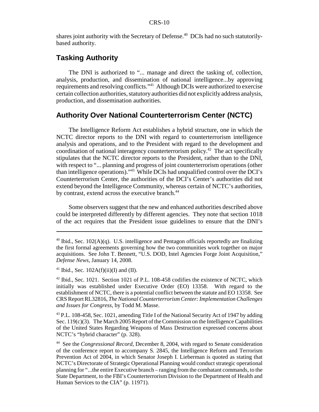shares joint authority with the Secretary of Defense.<sup>40</sup> DCIs had no such statutorilybased authority.

## **Tasking Authority**

The DNI is authorized to "... manage and direct the tasking of, collection, analysis, production, and dissemination of national intelligence...by approving requirements and resolving conflicts."41 Although DCIs were authorized to exercise certain collection authorities, statutory authorities did not explicitly address analysis, production, and dissemination authorities.

## **Authority Over National Counterterrorism Center (NCTC)**

The Intelligence Reform Act establishes a hybrid structure, one in which the NCTC director reports to the DNI with regard to counterterrorism intelligence analysis and operations, and to the President with regard to the development and coordination of national interagency counterterrorism policy.<sup>42</sup> The act specifically stipulates that the NCTC director reports to the President, rather than to the DNI, with respect to "... planning and progress of joint counterterrorism operations (other than intelligence operations)."43 While DCIs had unqualified control over the DCI's Counterterrorism Center, the authorities of the DCI's Center's authorities did not extend beyond the Intelligence Community, whereas certain of NCTC's authorities, by contrast, extend across the executive branch.<sup>44</sup>

Some observers suggest that the new and enhanced authorities described above could be interpreted differently by different agencies. They note that section 1018 of the act requires that the President issue guidelines to ensure that the DNI's

 $40$  Ibid., Sec. 102(A)(q). U.S. intelligence and Pentagon officials reportedly are finalizing the first formal agreements governing how the two communities work together on major acquisitions. See John T. Bennett, "U.S. DOD, Intel Agencies Forge Joint Acquisition," *Defense News*, January 14, 2008.

<sup>&</sup>lt;sup>41</sup> Ibid., Sec.  $102A(f)(ii)(I)$  and (II).

<sup>&</sup>lt;sup>42</sup> Ibid., Sec. 1021. Section 1021 of P.L. 108-458 codifies the existence of NCTC, which initially was established under Executive Order (EO) 13358. With regard to the establishment of NCTC, there is a potential conflict between the statute and EO 13358. See CRS Report RL32816, *The National Counterterrorism Center: Implementation Challenges and Issues for Congress*, by Todd M. Masse.

<sup>&</sup>lt;sup>43</sup> P.L. 108-458, Sec. 1021, amending Title I of the National Security Act of 1947 by adding Sec. 119(c)(3). The March 2005 Report of the Commission on the Intelligence Capabilities of the United States Regarding Weapons of Mass Destruction expressed concerns about NCTC's "hybrid character" (p. 328).

<sup>44</sup> See the *Congressional Record*, December 8, 2004, with regard to Senate consideration of the conference report to accompany S. 2845, the Intelligence Reform and Terrorism Prevention Act of 2004, in which Senator Joseph I. Lieberman is quoted as stating that NCTC's Directorate of Strategic Operational Planning would conduct strategic operational planning for "...the entire Executive branch – ranging from the combatant commands, to the State Department, to the FBI's Counterterrorism Division to the Department of Health and Human Services to the CIA" (p. 11971).